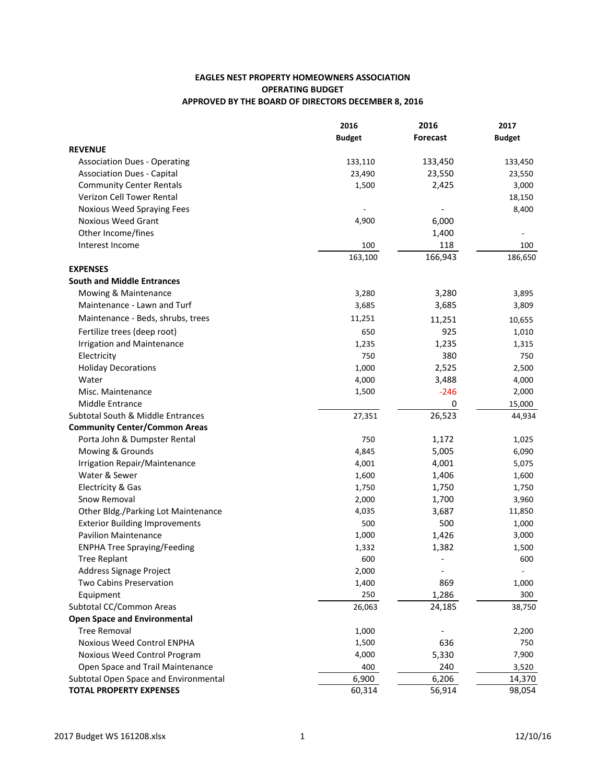## **EAGLES NEST PROPERTY HOMEOWNERS ASSOCIATION OPERATING BUDGET** APPROVED BY THE BOARD OF DIRECTORS DECEMBER 8, 2016

|                                       | 2016          | 2016                     | 2017<br><b>Budget</b> |
|---------------------------------------|---------------|--------------------------|-----------------------|
|                                       | <b>Budget</b> | <b>Forecast</b>          |                       |
| <b>REVENUE</b>                        |               |                          |                       |
| <b>Association Dues - Operating</b>   | 133,110       | 133,450                  | 133,450               |
| <b>Association Dues - Capital</b>     | 23,490        | 23,550                   | 23,550                |
| <b>Community Center Rentals</b>       | 1,500         | 2,425                    | 3,000                 |
| Verizon Cell Tower Rental             |               |                          | 18,150                |
| Noxious Weed Spraying Fees            |               |                          | 8,400                 |
| Noxious Weed Grant                    | 4,900         | 6,000                    |                       |
| Other Income/fines                    |               | 1,400                    |                       |
| Interest Income                       | 100           | 118                      | 100                   |
|                                       | 163,100       | 166,943                  | 186,650               |
| <b>EXPENSES</b>                       |               |                          |                       |
| <b>South and Middle Entrances</b>     |               |                          |                       |
| Mowing & Maintenance                  | 3,280         | 3,280                    | 3,895                 |
| Maintenance - Lawn and Turf           | 3,685         | 3,685                    | 3,809                 |
| Maintenance - Beds, shrubs, trees     | 11,251        | 11,251                   | 10,655                |
| Fertilize trees (deep root)           | 650           | 925                      | 1,010                 |
| <b>Irrigation and Maintenance</b>     | 1,235         | 1,235                    | 1,315                 |
| Electricity                           | 750           | 380                      | 750                   |
| <b>Holiday Decorations</b>            | 1,000         | 2,525                    | 2,500                 |
| Water                                 | 4,000         | 3,488                    | 4,000                 |
| Misc. Maintenance                     | 1,500         | $-246$                   | 2,000                 |
| Middle Entrance                       |               | 0                        | 15,000                |
| Subtotal South & Middle Entrances     | 27,351        | 26,523                   | 44,934                |
| <b>Community Center/Common Areas</b>  |               |                          |                       |
| Porta John & Dumpster Rental          | 750           | 1,172                    | 1,025                 |
| Mowing & Grounds                      | 4,845         | 5,005                    | 6,090                 |
| Irrigation Repair/Maintenance         | 4,001         | 4,001                    | 5,075                 |
| Water & Sewer                         | 1,600         | 1,406                    | 1,600                 |
| Electricity & Gas                     | 1,750         | 1,750                    | 1,750                 |
| Snow Removal                          | 2,000         | 1,700                    | 3,960                 |
| Other Bldg./Parking Lot Maintenance   | 4,035         | 3,687                    | 11,850                |
| <b>Exterior Building Improvements</b> | 500           | 500                      | 1,000                 |
| <b>Pavilion Maintenance</b>           | 1,000         | 1,426                    | 3,000                 |
| <b>ENPHA Tree Spraying/Feeding</b>    | 1,332         | 1,382                    | 1,500                 |
| <b>Tree Replant</b>                   | 600           | $\overline{\phantom{a}}$ | 600                   |
| Address Signage Project               | 2,000         |                          |                       |
| Two Cabins Preservation               | 1,400         | 869                      | 1,000                 |
| Equipment                             | 250           | 1,286                    | 300                   |
| Subtotal CC/Common Areas              | 26,063        | 24,185                   | 38,750                |
| <b>Open Space and Environmental</b>   |               |                          |                       |
| <b>Tree Removal</b>                   | 1,000         |                          | 2,200                 |
| Noxious Weed Control ENPHA            | 1,500         | 636                      | 750                   |
| Noxious Weed Control Program          | 4,000         | 5,330                    | 7,900                 |
| Open Space and Trail Maintenance      | 400           | 240                      | 3,520                 |
| Subtotal Open Space and Environmental | 6,900         | 6,206                    | 14,370                |
| <b>TOTAL PROPERTY EXPENSES</b>        | 60,314        | 56,914                   | 98,054                |